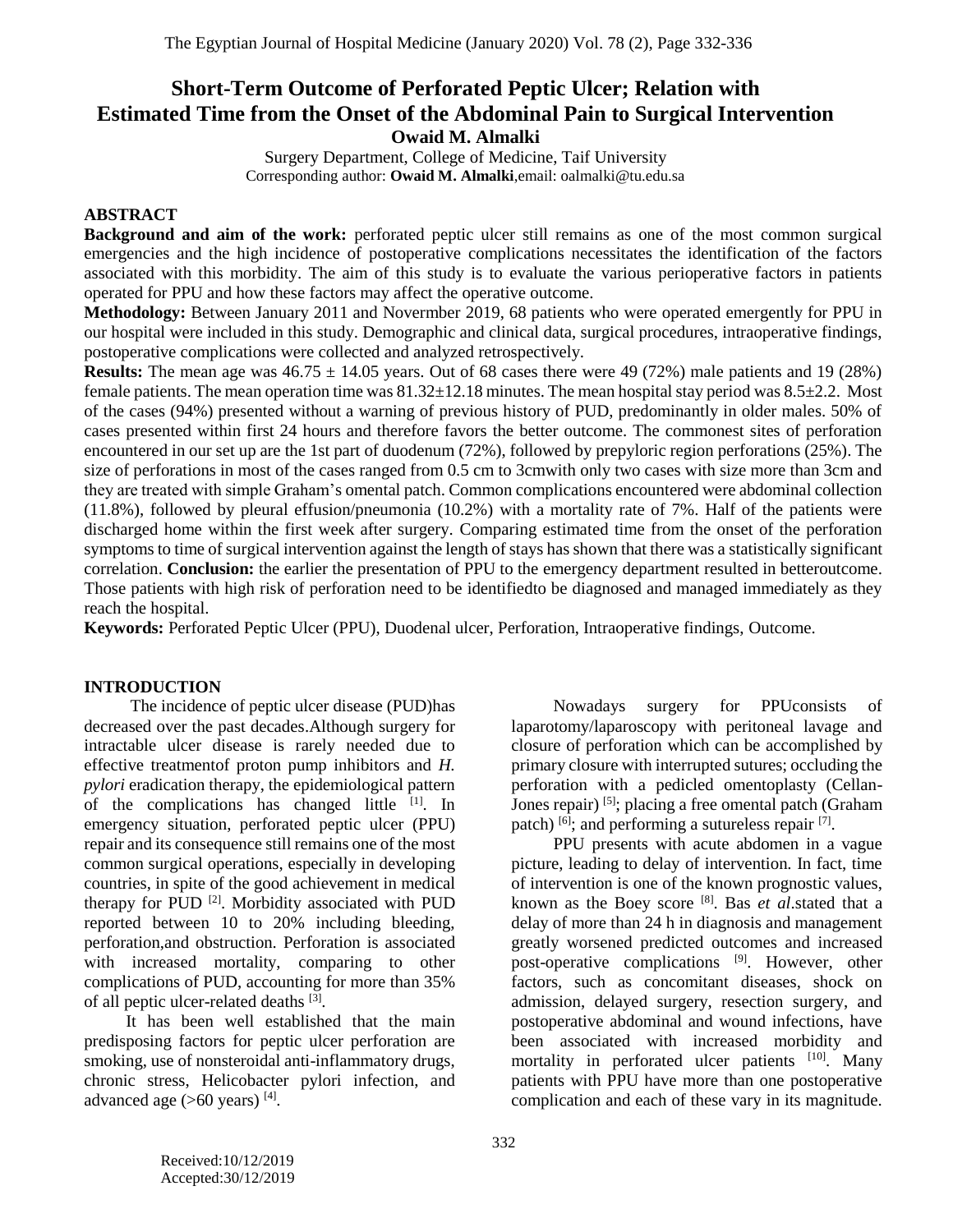# **Short-Term Outcome of Perforated Peptic Ulcer; Relation with Estimated Time from the Onset of the Abdominal Pain to Surgical Intervention Owaid M. Almalki**

Surgery Department, College of Medicine, Taif University Corresponding author: **Owaid M. Almalki**,email: oalmalki@tu.edu.sa

# **ABSTRACT**

**Background and aim of the work:** perforated peptic ulcer still remains as one of the most common surgical emergencies and the high incidence of postoperative complications necessitates the identification of the factors associated with this morbidity. The aim of this study is to evaluate the various perioperative factors in patients operated for PPU and how these factors may affect the operative outcome.

**Methodology:** Between January 2011 and Novermber 2019, 68 patients who were operated emergently for PPU in our hospital were included in this study. Demographic and clinical data, surgical procedures, intraoperative findings, postoperative complications were collected and analyzed retrospectively.

**Results:** The mean age was  $46.75 \pm 14.05$  years. Out of 68 cases there were 49 (72%) male patients and 19 (28%) female patients. The mean operation time was  $81.32 \pm 12.18$  minutes. The mean hospital stay period was  $8.5 \pm 2.2$ . Most of the cases (94%) presented without a warning of previous history of PUD, predominantly in older males. 50% of cases presented within first 24 hours and therefore favors the better outcome. The commonest sites of perforation encountered in our set up are the 1st part of duodenum (72%), followed by prepyloric region perforations (25%). The size of perforations in most of the cases ranged from 0.5 cm to 3cmwith only two cases with size more than 3cm and they are treated with simple Graham's omental patch. Common complications encountered were abdominal collection (11.8%), followed by pleural effusion/pneumonia (10.2%) with a mortality rate of 7%. Half of the patients were discharged home within the first week after surgery. Comparing estimated time from the onset of the perforation symptoms to time of surgical intervention against the length of stays has shown that there was a statistically significant correlation. **Conclusion:** the earlier the presentation of PPU to the emergency department resulted in betteroutcome. Those patients with high risk of perforation need to be identifiedto be diagnosed and managed immediately as they reach the hospital.

**Keywords:** Perforated Peptic Ulcer (PPU), Duodenal ulcer, Perforation, Intraoperative findings, Outcome.

# **INTRODUCTION**

The incidence of peptic ulcer disease (PUD)has decreased over the past decades.Although surgery for intractable ulcer disease is rarely needed due to effective treatmentof proton pump inhibitors and *H. pylori* eradication therapy, the epidemiological pattern of the complications has changed little [1]. In emergency situation, perforated peptic ulcer (PPU) repair and its consequence still remains one of the most common surgical operations, especially in developing countries, in spite of the good achievement in medical therapy for PUD<sup>[2]</sup>. Morbidity associated with PUD reported between 10 to 20% including bleeding, perforation,and obstruction. Perforation is associated with increased mortality, comparing to other complications of PUD, accounting for more than 35% of all peptic ulcer-related deaths [3].

It has been well established that the main predisposing factors for peptic ulcer perforation are smoking, use of nonsteroidal anti-inflammatory drugs, chronic stress, Helicobacter pylori infection, and advanced age  $(>60$  years)  $^{[4]}$ .

Nowadays surgery for PPUconsists of laparotomy/laparoscopy with peritoneal lavage and closure of perforation which can be accomplished by primary closure with interrupted sutures; occluding the perforation with a pedicled omentoplasty (Cellan-Jones repair) <sup>[5]</sup>; placing a free omental patch (Graham patch) <sup>[6]</sup>; and performing a sutureless repair <sup>[7]</sup>.

PPU presents with acute abdomen in a vague picture, leading to delay of intervention. In fact, time of intervention is one of the known prognostic values, known as the Boey score [8] . Bas *et al*.stated that a delay of more than 24 h in diagnosis and management greatly worsened predicted outcomes and increased post-operative complications <sup>[9]</sup>. However, other factors, such as concomitant diseases, shock on admission, delayed surgery, resection surgery, and postoperative abdominal and wound infections, have been associated with increased morbidity and mortality in perforated ulcer patients [10]. Many patients with PPU have more than one postoperative complication and each of these vary in its magnitude.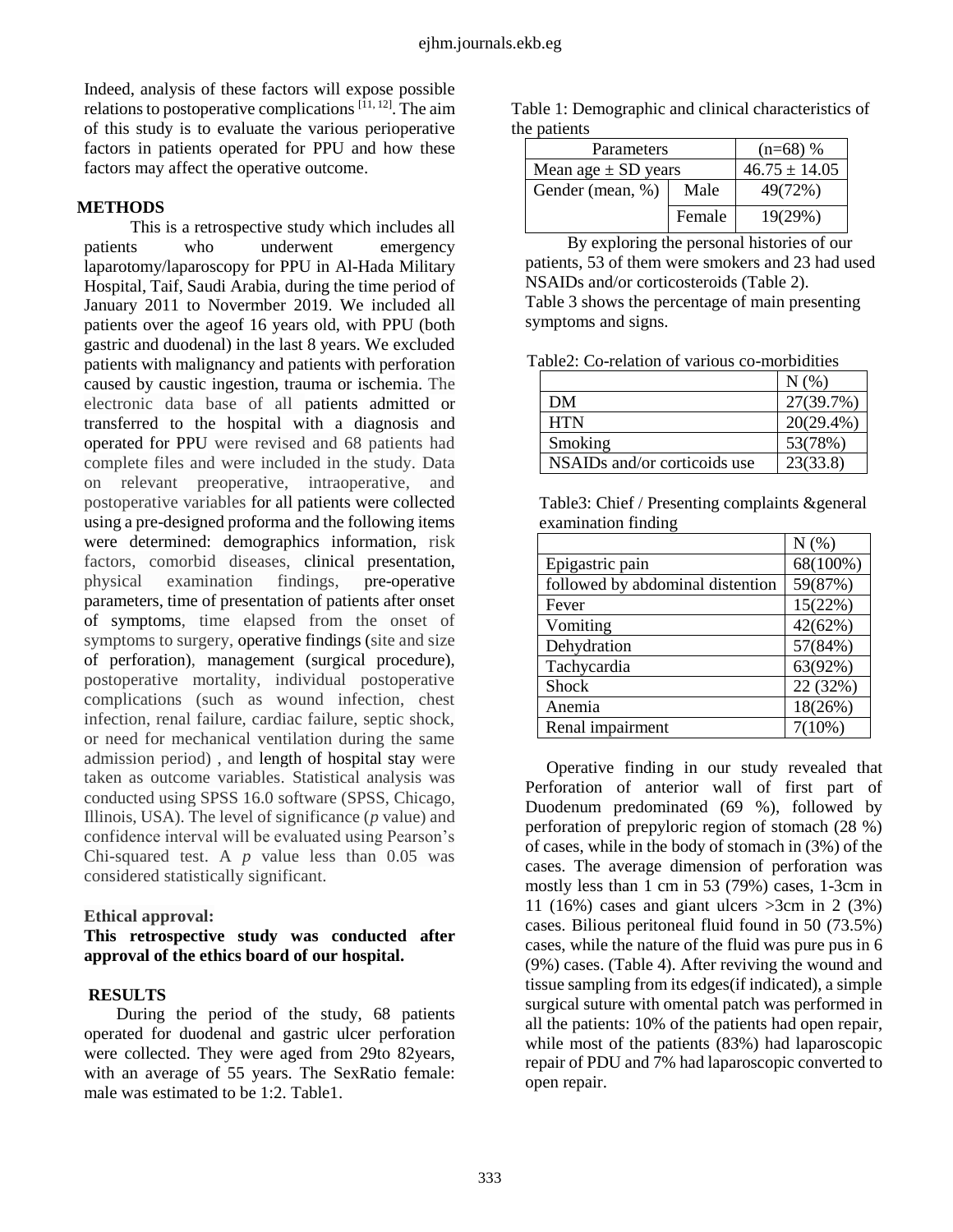Indeed, analysis of these factors will expose possible relations to postoperative complications [11, 12]. The aim of this study is to evaluate the various perioperative factors in patients operated for PPU and how these factors may affect the operative outcome.

### **METHODS**

This is a retrospective study which includes all patients who underwent emergency laparotomy/laparoscopy for PPU in Al-Hada Military Hospital, Taif, Saudi Arabia, during the time period of January 2011 to Novermber 2019. We included all patients over the ageof 16 years old, with PPU (both gastric and duodenal) in the last 8 years. We excluded patients with malignancy and patients with perforation caused by caustic ingestion, trauma or ischemia. The electronic data base of all patients admitted or transferred to the hospital with a diagnosis and operated for PPU were revised and 68 patients had complete files and were included in the study. Data on relevant preoperative, intraoperative, and postoperative variables for all patients were collected using a pre-designed proforma and the following items were determined: demographics information, risk factors, comorbid diseases, clinical presentation, physical examination findings, pre-operative parameters, time of presentation of patients after onset of symptoms, time elapsed from the onset of symptoms to surgery, operative findings (site and size of perforation), management (surgical procedure), postoperative mortality, individual postoperative complications (such as wound infection, chest infection, renal failure, cardiac failure, septic shock, or need for mechanical ventilation during the same admission period) , and length of hospital stay were taken as outcome variables. Statistical analysis was conducted using SPSS 16.0 software (SPSS, Chicago, Illinois, USA). The level of significance (*p* value) and confidence interval will be evaluated using Pearson's Chi-squared test. A *p* value less than 0.05 was considered statistically significant.

#### **Ethical approval:**

**This retrospective study was conducted after approval of the ethics board of our hospital.**

# **RESULTS**

During the period of the study, 68 patients operated for duodenal and gastric ulcer perforation were collected. They were aged from 29to 82years, with an average of 55 years. The SexRatio female: male was estimated to be 1:2. Table1.

Table 1: Demographic and clinical characteristics of the patients

| Parameters              |        | $(n=68)$ %        |
|-------------------------|--------|-------------------|
| Mean age $\pm$ SD years |        | $46.75 \pm 14.05$ |
| Gender (mean, %)        | Male   | 49(72%)           |
|                         | Female | 19(29%)           |

By exploring the personal histories of our patients, 53 of them were smokers and 23 had used NSAIDs and/or corticosteroids (Table 2). Table 3 shows the percentage of main presenting symptoms and signs.

Table2: Co-relation of various co-morbidities

|                              | N(%          |
|------------------------------|--------------|
| DM                           | 27(39.7%)    |
| <b>HTN</b>                   | $20(29.4\%)$ |
| Smoking                      | 53(78%)      |
| NSAIDs and/or corticoids use | 23(33.8)     |

Table3: Chief / Presenting complaints &general examination finding

|                                  | N(% )    |
|----------------------------------|----------|
| Epigastric pain                  | 68(100%) |
| followed by abdominal distention | 59(87%)  |
| Fever                            | 15(22%)  |
| Vomiting                         | 42(62%)  |
| Dehydration                      | 57(84%)  |
| Tachycardia                      | 63(92%)  |
| <b>Shock</b>                     | 22 (32%) |
| Anemia                           | 18(26%)  |
| Renal impairment                 | 7(10%)   |

Operative finding in our study revealed that Perforation of anterior wall of first part of Duodenum predominated (69 %), followed by perforation of prepyloric region of stomach (28 %) of cases, while in the body of stomach in (3%) of the cases. The average dimension of perforation was mostly less than 1 cm in 53 (79%) cases, 1-3cm in 11 (16%) cases and giant ulcers  $>3$ cm in 2 (3%) cases. Bilious peritoneal fluid found in 50 (73.5%) cases, while the nature of the fluid was pure pus in 6 (9%) cases. (Table 4). After reviving the wound and tissue sampling from its edges(if indicated), a simple surgical suture with omental patch was performed in all the patients: 10% of the patients had open repair, while most of the patients (83%) had laparoscopic repair of PDU and 7% had laparoscopic converted to open repair.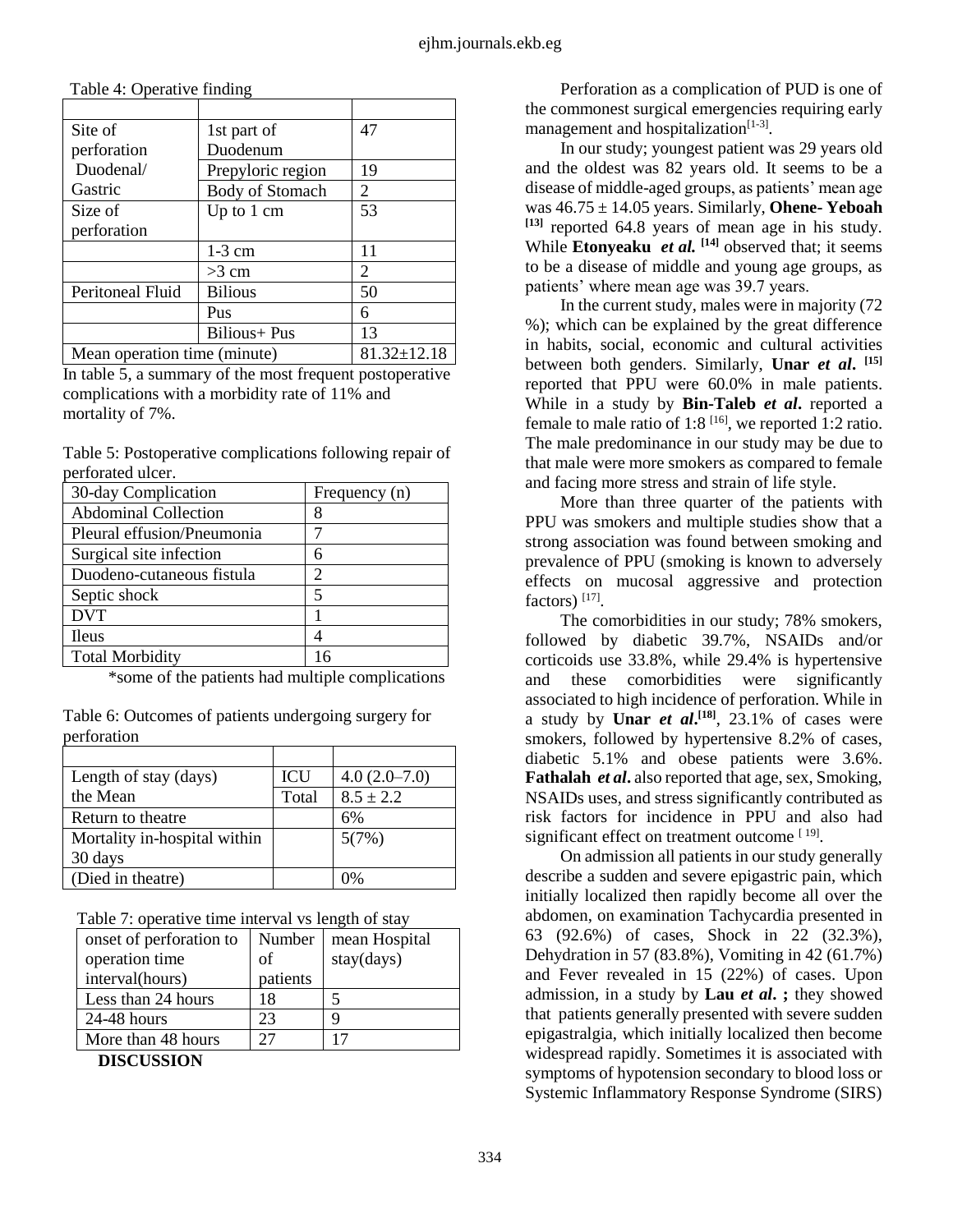| Site of                      | 1st part of            | 47                    |
|------------------------------|------------------------|-----------------------|
| perforation                  | Duodenum               |                       |
| Duodenal/                    | Prepyloric region      | 19                    |
| Gastric                      | <b>Body of Stomach</b> | 2                     |
| Size of                      | Up to $1 \text{ cm}$   | 53                    |
| perforation                  |                        |                       |
|                              | $1-3$ cm               | 11                    |
|                              | $>3$ cm                | $\mathcal{D}_{\cdot}$ |
| Peritoneal Fluid             | <b>Bilious</b>         | 50                    |
|                              | Pus                    | 6                     |
|                              | Bilious+ Pus           | 13                    |
| Mean operation time (minute) |                        | $81.32 \pm 12.18$     |

Table 4: Operative finding

In table 5, a summary of the most frequent postoperative complications with a morbidity rate of 11% and mortality of 7%.

| Table 5: Postoperative complications following repair of |  |  |
|----------------------------------------------------------|--|--|
| perforated ulcer.                                        |  |  |

| 30-day Complication         | Frequency (n)  |
|-----------------------------|----------------|
| <b>Abdominal Collection</b> |                |
| Pleural effusion/Pneumonia  |                |
| Surgical site infection     | 6              |
| Duodeno-cutaneous fistula   | $\mathfrak{D}$ |
| Septic shock                | 5              |
| <b>DVT</b>                  |                |
| <b>Ileus</b>                |                |
| <b>Total Morbidity</b>      |                |

\*some of the patients had multiple complications

| Length of stay (days)        | ICU   | $4.0(2.0-7.0)$ |
|------------------------------|-------|----------------|
| the Mean                     | Total | $8.5 \pm 2.2$  |
| Return to theatre            |       | 6%             |
| Mortality in-hospital within |       | 5(7%)          |
| 30 days                      |       |                |
| (Died in theatre)            |       |                |

Table 6: Outcomes of patients undergoing surgery for perforation

Table 7: operative time interval vs length of stay

| onset of perforation to | Number   | mean Hospital |
|-------------------------|----------|---------------|
| operation time          | of       | stay(days)    |
| interval(hours)         | patients |               |
| Less than 24 hours      | 18       |               |
| $24-48$ hours           | 23       | q             |
| More than 48 hours      |          |               |
| <b>DIGALIGULOJ</b> I    |          |               |

**DISCUSSION**

Perforation as a complication of PUD is one of the commonest surgical emergencies requiring early management and hospitalization<sup>[1-3]</sup>.

In our study; youngest patient was 29 years old and the oldest was 82 years old. It seems to be a disease of middle-aged groups, as patients' mean age was 46.75 ± 14.05 years. Similarly, **Ohene- Yeboah [13]** reported 64.8 years of mean age in his study. While **Etonyeaku** *et al.* **[14]** observed that; it seems to be a disease of middle and young age groups, as patients' where mean age was 39.7 years.

In the current study, males were in majority (72 %); which can be explained by the great difference in habits, social, economic and cultural activities between both genders. Similarly, **Unar** *et al***. [15]** reported that PPU were 60.0% in male patients. While in a study by **Bin-Taleb** *et al***.** reported a female to male ratio of 1:8  $[16]$ , we reported 1:2 ratio. The male predominance in our study may be due to that male were more smokers as compared to female and facing more stress and strain of life style.

More than three quarter of the patients with PPU was smokers and multiple studies show that a strong association was found between smoking and prevalence of PPU (smoking is known to adversely effects on mucosal aggressive and protection factors)<sup>[17]</sup>.

The comorbidities in our study; 78% smokers, followed by diabetic 39.7%, NSAIDs and/or corticoids use 33.8%, while 29.4% is hypertensive and these comorbidities were significantly associated to high incidence of perforation. While in a study by **Unar** *et al***. [18]** , 23.1% of cases were smokers, followed by hypertensive 8.2% of cases, diabetic 5.1% and obese patients were 3.6%. **Fathalah** *et al***.** also reported that age, sex, Smoking, NSAIDs uses, and stress significantly contributed as risk factors for incidence in PPU and also had significant effect on treatment outcome [19].

On admission all patients in our study generally describe a sudden and severe epigastric pain, which initially localized then rapidly become all over the abdomen, on examination Tachycardia presented in 63 (92.6%) of cases, Shock in 22 (32.3%), Dehydration in 57 (83.8%), Vomiting in 42 (61.7%) and Fever revealed in 15 (22%) of cases. Upon admission, in a study by **Lau** *et al***. ;** they showed that patients generally presented with severe sudden epigastralgia, which initially localized then become widespread rapidly. Sometimes it is associated with symptoms of hypotension secondary to blood loss or Systemic Inflammatory Response Syndrome (SIRS)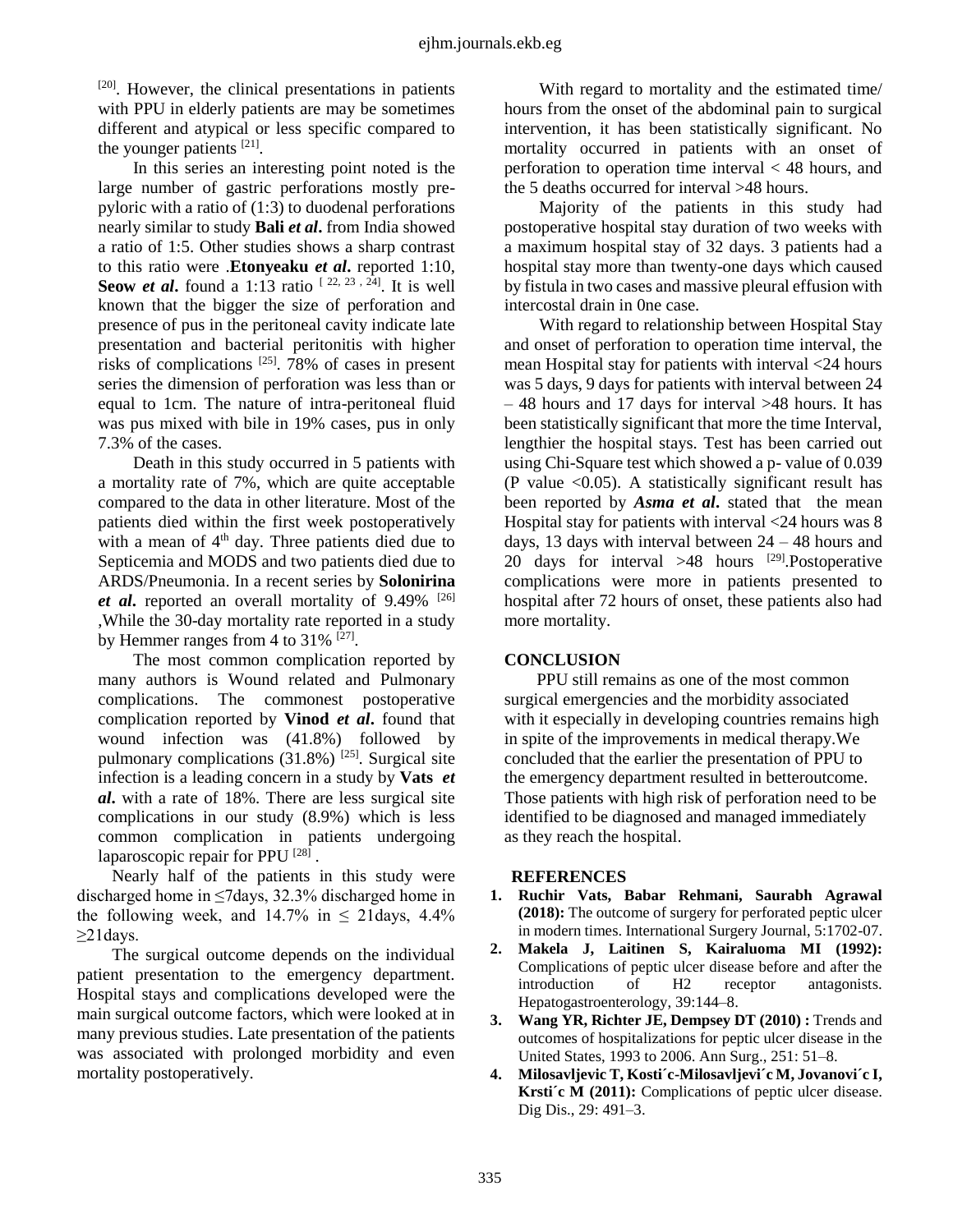$[20]$ . However, the clinical presentations in patients with PPU in elderly patients are may be sometimes different and atypical or less specific compared to the younger patients  $[21]$ .

In this series an interesting point noted is the large number of gastric perforations mostly prepyloric with a ratio of (1:3) to duodenal perforations nearly similar to study **Bali** *et al***.** from India showed a ratio of 1:5. Other studies shows a sharp contrast to this ratio were .**Etonyeaku** *et al***.** reported 1:10, **Seow** *et al***.** found a 1:13 ratio  $[22, 23, 24]$ . It is well known that the bigger the size of perforation and presence of pus in the peritoneal cavity indicate late presentation and bacterial peritonitis with higher risks of complications  $^{[25]}$ . 78% of cases in present series the dimension of perforation was less than or equal to 1cm. The nature of intra-peritoneal fluid was pus mixed with bile in 19% cases, pus in only 7.3% of the cases.

Death in this study occurred in 5 patients with a mortality rate of 7%, which are quite acceptable compared to the data in other literature. Most of the patients died within the first week postoperatively with a mean of 4<sup>th</sup> day. Three patients died due to Septicemia and MODS and two patients died due to ARDS/Pneumonia. In a recent series by **Solonirina**  *et al***.** reported an overall mortality of 9.49% [26] ,While the 30-day mortality rate reported in a study by Hemmer ranges from 4 to  $31\%$  <sup>[27]</sup>.

The most common complication reported by many authors is Wound related and Pulmonary complications. The commonest postoperative complication reported by **Vinod** *et al***.** found that wound infection was (41.8%) followed by pulmonary complications  $(31.8\%)$ <sup>[25]</sup>. Surgical site infection is a leading concern in a study by **Vats** *et al***.** with a rate of 18%. There are less surgical site complications in our study (8.9%) which is less common complication in patients undergoing laparoscopic repair for PPU<sup>[28]</sup>.

Nearly half of the patients in this study were discharged home in ≤7days, 32.3% discharged home in the following week, and  $14.7\%$  in  $\leq$  21 days, 4.4%  $\geq$ 21 days.

The surgical outcome depends on the individual patient presentation to the emergency department. Hospital stays and complications developed were the main surgical outcome factors, which were looked at in many previous studies. Late presentation of the patients was associated with prolonged morbidity and even mortality postoperatively.

With regard to mortality and the estimated time/ hours from the onset of the abdominal pain to surgical intervention, it has been statistically significant. No mortality occurred in patients with an onset of perforation to operation time interval < 48 hours, and the 5 deaths occurred for interval >48 hours.

Majority of the patients in this study had postoperative hospital stay duration of two weeks with a maximum hospital stay of 32 days. 3 patients had a hospital stay more than twenty-one days which caused by fistula in two cases and massive pleural effusion with intercostal drain in 0ne case.

With regard to relationship between Hospital Stay and onset of perforation to operation time interval, the mean Hospital stay for patients with interval <24 hours was 5 days, 9 days for patients with interval between 24 – 48 hours and 17 days for interval >48 hours. It has been statistically significant that more the time Interval, lengthier the hospital stays. Test has been carried out using Chi-Square test which showed a p- value of 0.039 (P value  $\langle 0.05 \rangle$ ). A statistically significant result has been reported by *Asma et al***.** stated that the mean Hospital stay for patients with interval <24 hours was 8 days, 13 days with interval between 24 – 48 hours and 20 days for interval  $>48$  hours <sup>[29]</sup>. Postoperative complications were more in patients presented to hospital after 72 hours of onset, these patients also had more mortality.

# **CONCLUSION**

PPU still remains as one of the most common surgical emergencies and the morbidity associated with it especially in developing countries remains high in spite of the improvements in medical therapy.We concluded that the earlier the presentation of PPU to the emergency department resulted in betteroutcome. Those patients with high risk of perforation need to be identified to be diagnosed and managed immediately as they reach the hospital.

#### **REFERENCES**

- **1. Ruchir Vats, Babar Rehmani, Saurabh Agrawal (2018):** The outcome of surgery for perforated peptic ulcer in modern times. International Surgery Journal, 5:1702-07.
- **2. Makela J, Laitinen S, Kairaluoma MI (1992):** Complications of peptic ulcer disease before and after the introduction of H2 receptor antagonists. Hepatogastroenterology, 39:144–8.
- **3. Wang YR, Richter JE, Dempsey DT (2010) :** Trends and outcomes of hospitalizations for peptic ulcer disease in the United States, 1993 to 2006. Ann Surg., 251: 51–8.
- **4. Milosavljevic T, Kosti´c-Milosavljevi´c M, Jovanovi´c I, Krsti´c M (2011):** Complications of peptic ulcer disease. Dig Dis., 29: 491–3.